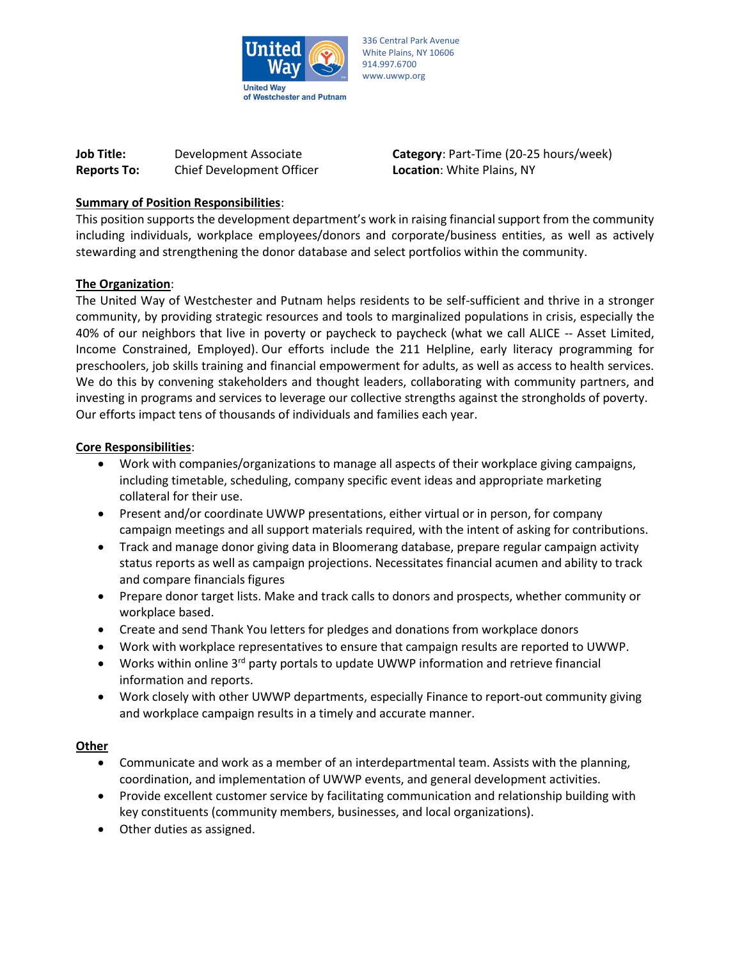

336 Central Park Avenue White Plains, NY 10606 914.997.6700 www.uwwp.org

| <b>Job Title:</b>  | Development Associate     |
|--------------------|---------------------------|
| <b>Reports To:</b> | Chief Development Officer |

**Category**: Part-Time (20-25 hours/week) **Location: White Plains, NY** 

# **Summary of Position Responsibilities**:

This position supports the development department's work in raising financial support from the community including individuals, workplace employees/donors and corporate/business entities, as well as actively stewarding and strengthening the donor database and select portfolios within the community.

#### **The Organization**:

The United Way of Westchester and Putnam helps residents to be self-sufficient and thrive in a stronger community, by providing strategic resources and tools to marginalized populations in crisis, especially the 40% of our neighbors that live in poverty or paycheck to paycheck (what we call ALICE -- Asset Limited, Income Constrained, Employed). Our efforts include the 211 Helpline, early literacy programming for preschoolers, job skills training and financial empowerment for adults, as well as access to health services. We do this by convening stakeholders and thought leaders, collaborating with community partners, and investing in programs and services to leverage our collective strengths against the strongholds of poverty. Our efforts impact tens of thousands of individuals and families each year.

#### **Core Responsibilities**:

- Work with companies/organizations to manage all aspects of their workplace giving campaigns, including timetable, scheduling, company specific event ideas and appropriate marketing collateral for their use.
- Present and/or coordinate UWWP presentations, either virtual or in person, for company campaign meetings and all support materials required, with the intent of asking for contributions.
- Track and manage donor giving data in Bloomerang database, prepare regular campaign activity status reports as well as campaign projections. Necessitates financial acumen and ability to track and compare financials figures
- Prepare donor target lists. Make and track calls to donors and prospects, whether community or workplace based.
- Create and send Thank You letters for pledges and donations from workplace donors
- Work with workplace representatives to ensure that campaign results are reported to UWWP.
- Works within online 3rd party portals to update UWWP information and retrieve financial information and reports.
- Work closely with other UWWP departments, especially Finance to report-out community giving and workplace campaign results in a timely and accurate manner.

#### **Other**

- Communicate and work as a member of an interdepartmental team. Assists with the planning, coordination, and implementation of UWWP events, and general development activities.
- Provide excellent customer service by facilitating communication and relationship building with key constituents (community members, businesses, and local organizations).
- Other duties as assigned.